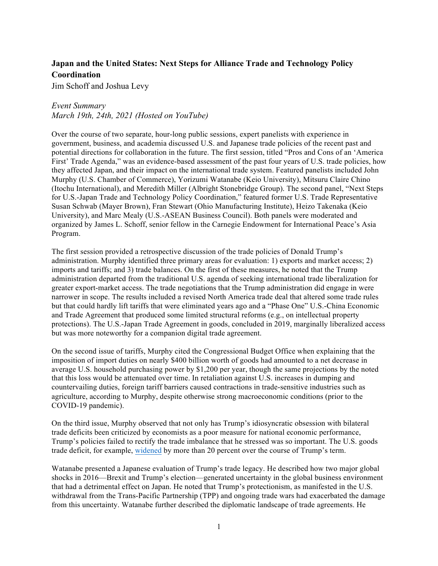## **Japan and the United States: Next Steps for Alliance Trade and Technology Policy Coordination**

Jim Schoff and Joshua Levy

## *Event Summary*

*March 19th, 24th, 2021 (Hosted on YouTube)*

Over the course of two separate, hour-long public sessions, expert panelists with experience in government, business, and academia discussed U.S. and Japanese trade policies of the recent past and potential directions for collaboration in the future. The first session, titled "Pros and Cons of an 'America First' Trade Agenda," was an evidence-based assessment of the past four years of U.S. trade policies, how they affected Japan, and their impact on the international trade system. Featured panelists included John Murphy (U.S. Chamber of Commerce), Yorizumi Watanabe (Keio University), Mitsuru Claire Chino (Itochu International), and Meredith Miller (Albright Stonebridge Group). The second panel, "Next Steps for U.S.-Japan Trade and Technology Policy Coordination," featured former U.S. Trade Representative Susan Schwab (Mayer Brown), Fran Stewart (Ohio Manufacturing Institute), Heizo Takenaka (Keio University), and Marc Mealy (U.S.-ASEAN Business Council). Both panels were moderated and organized by James L. Schoff, senior fellow in the Carnegie Endowment for International Peace's Asia Program.

The first session provided a retrospective discussion of the trade policies of Donald Trump's administration. Murphy identified three primary areas for evaluation: 1) exports and market access; 2) imports and tariffs; and 3) trade balances. On the first of these measures, he noted that the Trump administration departed from the traditional U.S. agenda of seeking international trade liberalization for greater export-market access. The trade negotiations that the Trump administration did engage in were narrower in scope. The results included a revised North America trade deal that altered some trade rules but that could hardly lift tariffs that were eliminated years ago and a "Phase One" U.S.-China Economic and Trade Agreement that produced some limited structural reforms (e.g., on intellectual property protections). The U.S.-Japan Trade Agreement in goods, concluded in 2019, marginally liberalized access but was more noteworthy for a companion digital trade agreement.

On the second issue of tariffs, Murphy cited the Congressional Budget Office when explaining that the imposition of import duties on nearly \$400 billion worth of goods had amounted to a net decrease in average U.S. household purchasing power by \$1,200 per year, though the same projections by the noted that this loss would be attenuated over time. In retaliation against U.S. increases in dumping and countervailing duties, foreign tariff barriers caused contractions in trade-sensitive industries such as agriculture, according to Murphy, despite otherwise strong macroeconomic conditions (prior to the COVID-19 pandemic).

On the third issue, Murphy observed that not only has Trump's idiosyncratic obsession with bilateral trade deficits been criticized by economists as a poor measure for national economic performance, Trump's policies failed to rectify the trade imbalance that he stressed was so important. The U.S. goods trade deficit, for example, widened by more than 20 percent over the course of Trump's term.

Watanabe presented a Japanese evaluation of Trump's trade legacy. He described how two major global shocks in 2016—Brexit and Trump's election—generated uncertainty in the global business environment that had a detrimental effect on Japan. He noted that Trump's protectionism, as manifested in the U.S. withdrawal from the Trans-Pacific Partnership (TPP) and ongoing trade wars had exacerbated the damage from this uncertainty. Watanabe further described the diplomatic landscape of trade agreements. He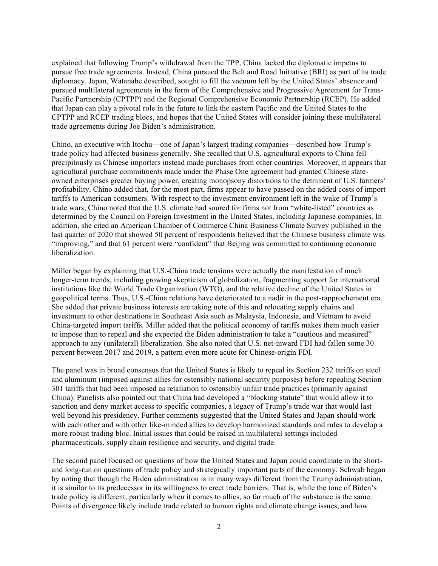explained that following Trump's withdrawal from the TPP, China lacked the diplomatic impetus to pursue free trade agreements. Instead, China pursued the Belt and Road Initiative (BRI) as part of its trade diplomacy. Japan, Watanabe described, sought to fill the vacuum left by the United States' absence and pursued multilateral agreements in the form of the Comprehensive and Progressive Agreement for Trans-Pacific Partnership (CPTPP) and the Regional Comprehensive Economic Partnership (RCEP). He added that Japan can play a pivotal role in the future to link the eastern Pacific and the United States to the CPTPP and RCEP trading blocs, and hopes that the United States will consider joining these multilateral trade agreements during Joe Biden's administration.

Chino, an executive with Itochu—one of Japan's largest trading companies—described how Trump's trade policy had affected business generally. She recalled that U.S. agricultural exports to China fell precipitously as Chinese importers instead made purchases from other countries. Moreover, it appears that agricultural purchase commitments made under the Phase One agreement had granted Chinese stateowned enterprises greater buying power, creating monopsony distortions to the detriment of U.S. farmers' profitability. Chino added that, for the most part, firms appear to have passed on the added costs of import tariffs to American consumers. With respect to the investment environment left in the wake of Trump's trade wars, Chino noted that the U.S. climate had soured for firms not from "white-listed" countries as determined by the Council on Foreign Investment in the United States, including Japanese companies. In addition, she cited an American Chamber of Commerce China Business Climate Survey published in the last quarter of 2020 that showed 50 percent of respondents believed that the Chinese business climate was "improving," and that 61 percent were "confident" that Beijing was committed to continuing economic liberalization.

Miller began by explaining that U.S.-China trade tensions were actually the manifestation of much longer-term trends, including growing skepticism of globalization, fragmenting support for international institutions like the World Trade Organization (WTO), and the relative decline of the United States in geopolitical terms. Thus, U.S.-China relations have deteriorated to a nadir in the post-rapprochement era. She added that private business interests are taking note of this and relocating supply chains and investment to other destinations in Southeast Asia such as Malaysia, Indonesia, and Vietnam to avoid China-targeted import tariffs. Miller added that the political economy of tariffs makes them much easier to impose than to repeal and she expected the Biden administration to take a "cautious and measured" approach to any (unilateral) liberalization. She also noted that U.S. net-inward FDI had fallen some 30 percent between 2017 and 2019, a pattern even more acute for Chinese-origin FDI.

The panel was in broad consensus that the United States is likely to repeal its Section 232 tariffs on steel and aluminum (imposed against allies for ostensibly national security purposes) before repealing Section 301 tariffs that had been imposed as retaliation to ostensibly unfair trade practices (primarily against China). Panelists also pointed out that China had developed a "blocking statute" that would allow it to sanction and deny market access to specific companies, a legacy of Trump's trade war that would last well beyond his presidency. Further comments suggested that the United States and Japan should work with each other and with other like-minded allies to develop harmonized standards and rules to develop a more robust trading bloc. Initial issues that could be raised in multilateral settings included pharmaceuticals, supply chain resilience and security, and digital trade.

The second panel focused on questions of how the United States and Japan could coordinate in the shortand long-run on questions of trade policy and strategically important parts of the economy. Schwab began by noting that though the Biden administration is in many ways different from the Trump administration, it is similar to its predecessor in its willingness to erect trade barriers. That is, while the tone of Biden's trade policy is different, particularly when it comes to allies, so far much of the substance is the same. Points of divergence likely include trade related to human rights and climate change issues, and how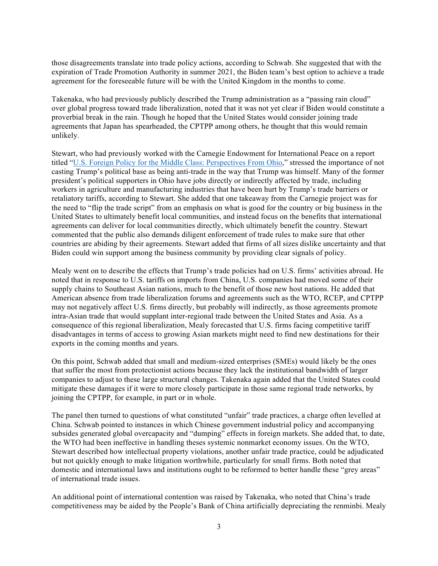those disagreements translate into trade policy actions, according to Schwab. She suggested that with the expiration of Trade Promotion Authority in summer 2021, the Biden team's best option to achieve a trade agreement for the foreseeable future will be with the United Kingdom in the months to come.

Takenaka, who had previously publicly described the Trump administration as a "passing rain cloud" over global progress toward trade liberalization, noted that it was not yet clear if Biden would constitute a proverbial break in the rain. Though he hoped that the United States would consider joining trade agreements that Japan has spearheaded, the CPTPP among others, he thought that this would remain unlikely.

Stewart, who had previously worked with the Carnegie Endowment for International Peace on a report titled "U.S. Foreign Policy for the Middle Class: Perspectives From Ohio," stressed the importance of not casting Trump's political base as being anti-trade in the way that Trump was himself. Many of the former president's political supporters in Ohio have jobs directly or indirectly affected by trade, including workers in agriculture and manufacturing industries that have been hurt by Trump's trade barriers or retaliatory tariffs, according to Stewart. She added that one takeaway from the Carnegie project was for the need to "flip the trade script" from an emphasis on what is good for the country or big business in the United States to ultimately benefit local communities, and instead focus on the benefits that international agreements can deliver for local communities directly, which ultimately benefit the country. Stewart commented that the public also demands diligent enforcement of trade rules to make sure that other countries are abiding by their agreements. Stewart added that firms of all sizes dislike uncertainty and that Biden could win support among the business community by providing clear signals of policy.

Mealy went on to describe the effects that Trump's trade policies had on U.S. firms' activities abroad. He noted that in response to U.S. tariffs on imports from China, U.S. companies had moved some of their supply chains to Southeast Asian nations, much to the benefit of those new host nations. He added that American absence from trade liberalization forums and agreements such as the WTO, RCEP, and CPTPP may not negatively affect U.S. firms directly, but probably will indirectly, as those agreements promote intra-Asian trade that would supplant inter-regional trade between the United States and Asia. As a consequence of this regional liberalization, Mealy forecasted that U.S. firms facing competitive tariff disadvantages in terms of access to growing Asian markets might need to find new destinations for their exports in the coming months and years.

On this point, Schwab added that small and medium-sized enterprises (SMEs) would likely be the ones that suffer the most from protectionist actions because they lack the institutional bandwidth of larger companies to adjust to these large structural changes. Takenaka again added that the United States could mitigate these damages if it were to more closely participate in those same regional trade networks, by joining the CPTPP, for example, in part or in whole.

The panel then turned to questions of what constituted "unfair" trade practices, a charge often levelled at China. Schwab pointed to instances in which Chinese government industrial policy and accompanying subsides generated global overcapacity and "dumping" effects in foreign markets. She added that, to date, the WTO had been ineffective in handling theses systemic nonmarket economy issues. On the WTO, Stewart described how intellectual property violations, another unfair trade practice, could be adjudicated but not quickly enough to make litigation worthwhile, particularly for small firms. Both noted that domestic and international laws and institutions ought to be reformed to better handle these "grey areas" of international trade issues.

An additional point of international contention was raised by Takenaka, who noted that China's trade competitiveness may be aided by the People's Bank of China artificially depreciating the renminbi. Mealy